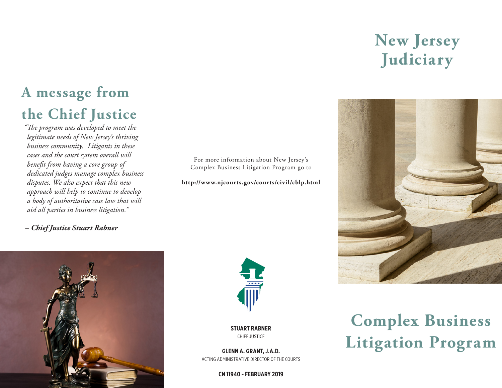# **New Jersey Judiciary**



*"The program was developed to meet the legitimate needs of New Jersey's thriving business community. Litigants in these cases and the court system overall will benefit from having a core group of dedicated judges manage complex business disputes. We also expect that this new approach will help to continue to develop a body of authoritative case law that will aid all parties in business litigation."*

– *Chief Justice Stuart Rabner*



For more information about New Jersey's Complex Business Litigation Program go to

**http://www.njcourts.gov/courts/civil/cblp.html**



**STUART RABNER** CHIEF JUSTICE

**GLENN A. GRANT, J.A.D.** ACTING ADMINISTRATIVE DIRECTOR OF THE COURTS

**CN 11940 - FEBRUARY 2019**

# **Complex Business Litigation Program**